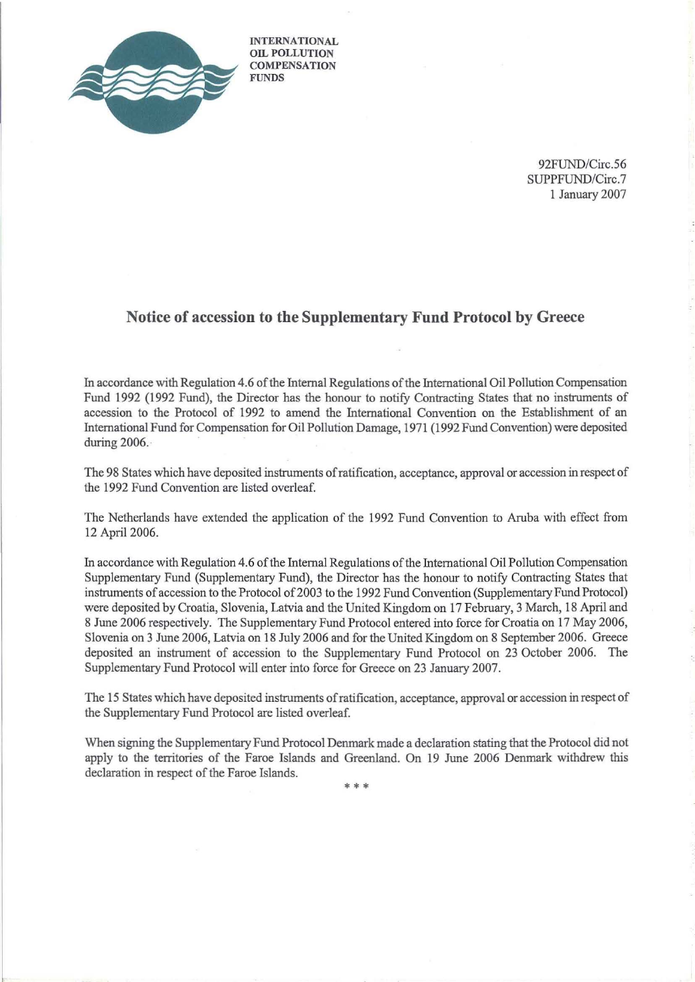

INTERNATIONAL OIL POLLUTION **COMPENSATION FUNDS** 

> 92FUND/Circ.56 SUPPFUND/Circ.7 I January 2007

## **Notice of accession to the Supplementary Fund Protocol by Greece**

In accordance with Regulation 4.6 ofthe Internal Regulations ofthe International Oil Pollution Compensation Fund 1992 (1992 Fund), the Director has the honour to notify Contracting States that no instruments of accession to the Protocol of 1992 to amend the International Convention on the Establishment of an International Fund for Compensation for Oil Pollution Damage, 1971 (1992 Fund Convention) were deposited during 2006.·

The 98 States which have deposited instruments ofratification, acceptance, approval or accession in respect of the 1992 Fund Convention are listed overleaf.

The Netherlands have extended the application of the 1992 Fund Convention to Aruba with effect from 12 April 2006.

In accordance with Regulation 4.6 ofthe Internal Regulations ofthe International Oil Pollution Compensation Supplementary Fund (Supplementary Fund), the Director has the honour to notify Contracting States that instruments of accession to the Protocol of 2003 to the 1992 Fund Convention (Supplementary Fund Protocol) were deposited by Croatia, Slovenia, Latvia and the United Kingdom on 17 February, 3 March, 18 April and 8 June 2006 respectively. The Supplementary Fund Protocol entered into force for Croatia on 17 May 2006, Slovenia on 3 June 2006, Latvia on 18 July 2006 and for the United Kingdom on 8 September 2006. Greece deposited an instrument of accession to the Supplementary Fund Protocol on 23 October 2006. The Supplementary Fund Protocol will enter into force for Greece on 23 January 2007.

The 15 States which have deposited instruments ofratification, acceptance, approval or accession in respect of the Supplementary Fund Protocol are listed overleaf.

When signing the Supplementary Fund Protocol Denmark made a declaration stating that the Protocol did not apply to the territories of the Faroe Islands and Greenland. On 19 June 2006 Denmark withdrew this declaration in respect of the Faroe Islands.

•••